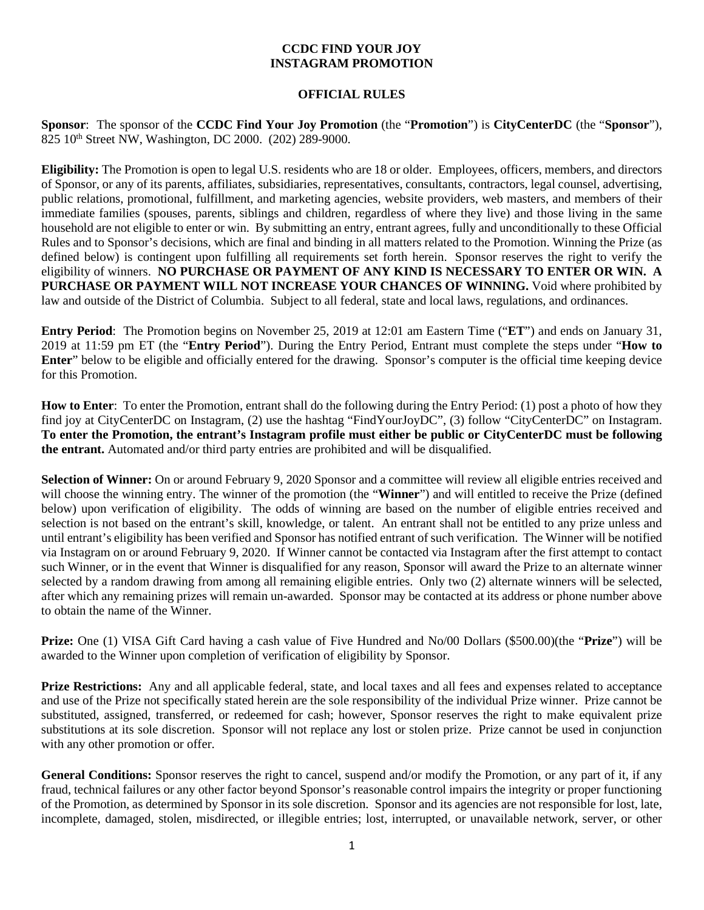## **CCDC FIND YOUR JOY INSTAGRAM PROMOTION**

## **OFFICIAL RULES**

**Sponsor**: The sponsor of the **CCDC Find Your Joy Promotion** (the "**Promotion**") is **CityCenterDC** (the "**Sponsor**"), 825 10th Street NW, Washington, DC 2000. (202) 289-9000.

**Eligibility:** The Promotion is open to legal U.S. residents who are 18 or older*.* Employees, officers, members, and directors of Sponsor, or any of its parents, affiliates, subsidiaries, representatives, consultants, contractors, legal counsel, advertising, public relations, promotional, fulfillment, and marketing agencies, website providers, web masters, and members of their immediate families (spouses, parents, siblings and children, regardless of where they live) and those living in the same household are not eligible to enter or win. By submitting an entry, entrant agrees, fully and unconditionally to these Official Rules and to Sponsor's decisions, which are final and binding in all matters related to the Promotion. Winning the Prize (as defined below) is contingent upon fulfilling all requirements set forth herein. Sponsor reserves the right to verify the eligibility of winners. **NO PURCHASE OR PAYMENT OF ANY KIND IS NECESSARY TO ENTER OR WIN. A PURCHASE OR PAYMENT WILL NOT INCREASE YOUR CHANCES OF WINNING.** Void where prohibited by law and outside of the District of Columbia. Subject to all federal, state and local laws, regulations, and ordinances.

**Entry Period**: The Promotion begins on November 25, 2019 at 12:01 am Eastern Time ("**ET**") and ends on January 31, 2019 at 11:59 pm ET (the "**Entry Period**"). During the Entry Period, Entrant must complete the steps under "**How to Enter**" below to be eligible and officially entered for the drawing. Sponsor's computer is the official time keeping device for this Promotion.

**How to Enter**: To enter the Promotion, entrant shall do the following during the Entry Period: (1) post a photo of how they find joy at CityCenterDC on Instagram, (2) use the hashtag "FindYourJoyDC", (3) follow "CityCenterDC" on Instagram. **To enter the Promotion, the entrant's Instagram profile must either be public or CityCenterDC must be following the entrant.** Automated and/or third party entries are prohibited and will be disqualified.

**Selection of Winner:** On or around February 9, 2020 Sponsor and a committee will review all eligible entries received and will choose the winning entry. The winner of the promotion (the "**Winner**") and will entitled to receive the Prize (defined below) upon verification of eligibility. The odds of winning are based on the number of eligible entries received and selection is not based on the entrant's skill, knowledge, or talent. An entrant shall not be entitled to any prize unless and until entrant's eligibility has been verified and Sponsor has notified entrant of such verification. The Winner will be notified via Instagram on or around February 9, 2020. If Winner cannot be contacted via Instagram after the first attempt to contact such Winner, or in the event that Winner is disqualified for any reason, Sponsor will award the Prize to an alternate winner selected by a random drawing from among all remaining eligible entries. Only two (2) alternate winners will be selected, after which any remaining prizes will remain un-awarded. Sponsor may be contacted at its address or phone number above to obtain the name of the Winner.

**Prize:** One (1) VISA Gift Card having a cash value of Five Hundred and No/00 Dollars (\$500.00)(the "**Prize**") will be awarded to the Winner upon completion of verification of eligibility by Sponsor.

**Prize Restrictions:** Any and all applicable federal, state, and local taxes and all fees and expenses related to acceptance and use of the Prize not specifically stated herein are the sole responsibility of the individual Prize winner. Prize cannot be substituted, assigned, transferred, or redeemed for cash; however, Sponsor reserves the right to make equivalent prize substitutions at its sole discretion. Sponsor will not replace any lost or stolen prize. Prize cannot be used in conjunction with any other promotion or offer.

**General Conditions:** Sponsor reserves the right to cancel, suspend and/or modify the Promotion, or any part of it, if any fraud, technical failures or any other factor beyond Sponsor's reasonable control impairs the integrity or proper functioning of the Promotion, as determined by Sponsor in its sole discretion. Sponsor and its agencies are not responsible for lost, late, incomplete, damaged, stolen, misdirected, or illegible entries; lost, interrupted, or unavailable network, server, or other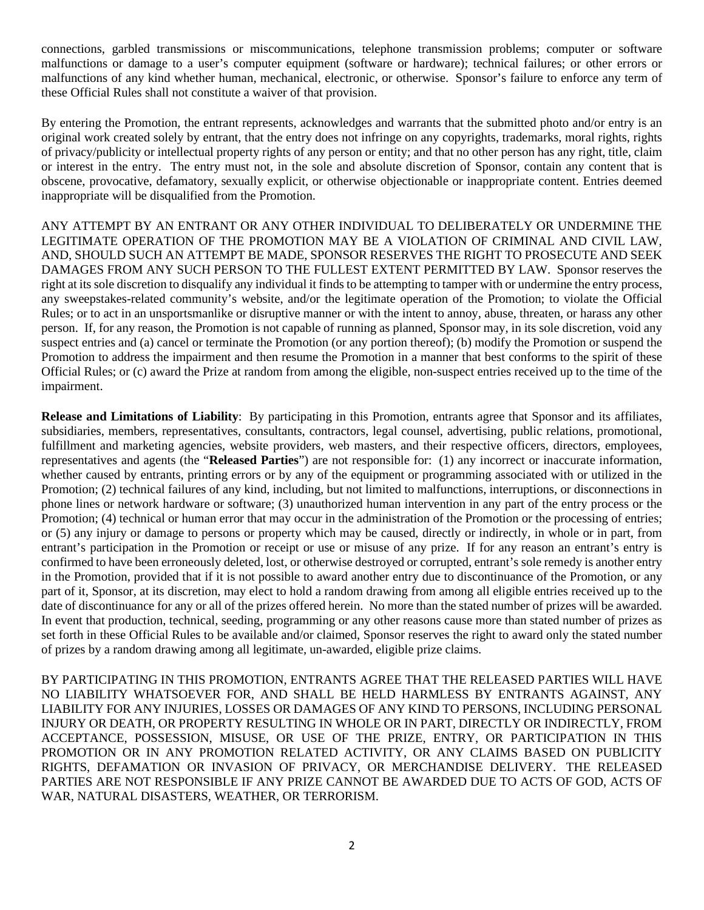connections, garbled transmissions or miscommunications, telephone transmission problems; computer or software malfunctions or damage to a user's computer equipment (software or hardware); technical failures; or other errors or malfunctions of any kind whether human, mechanical, electronic, or otherwise. Sponsor's failure to enforce any term of these Official Rules shall not constitute a waiver of that provision.

By entering the Promotion, the entrant represents, acknowledges and warrants that the submitted photo and/or entry is an original work created solely by entrant, that the entry does not infringe on any copyrights, trademarks, moral rights, rights of privacy/publicity or intellectual property rights of any person or entity; and that no other person has any right, title, claim or interest in the entry. The entry must not, in the sole and absolute discretion of Sponsor, contain any content that is obscene, provocative, defamatory, sexually explicit, or otherwise objectionable or inappropriate content. Entries deemed inappropriate will be disqualified from the Promotion.

ANY ATTEMPT BY AN ENTRANT OR ANY OTHER INDIVIDUAL TO DELIBERATELY OR UNDERMINE THE LEGITIMATE OPERATION OF THE PROMOTION MAY BE A VIOLATION OF CRIMINAL AND CIVIL LAW, AND, SHOULD SUCH AN ATTEMPT BE MADE, SPONSOR RESERVES THE RIGHT TO PROSECUTE AND SEEK DAMAGES FROM ANY SUCH PERSON TO THE FULLEST EXTENT PERMITTED BY LAW. Sponsor reserves the right at its sole discretion to disqualify any individual it finds to be attempting to tamper with or undermine the entry process, any sweepstakes-related community's website, and/or the legitimate operation of the Promotion; to violate the Official Rules; or to act in an unsportsmanlike or disruptive manner or with the intent to annoy, abuse, threaten, or harass any other person. If, for any reason, the Promotion is not capable of running as planned, Sponsor may, in its sole discretion, void any suspect entries and (a) cancel or terminate the Promotion (or any portion thereof); (b) modify the Promotion or suspend the Promotion to address the impairment and then resume the Promotion in a manner that best conforms to the spirit of these Official Rules; or (c) award the Prize at random from among the eligible, non-suspect entries received up to the time of the impairment.

**Release and Limitations of Liability**: By participating in this Promotion, entrants agree that Sponsor and its affiliates, subsidiaries, members, representatives, consultants, contractors, legal counsel, advertising, public relations, promotional, fulfillment and marketing agencies, website providers, web masters, and their respective officers, directors, employees, representatives and agents (the "**Released Parties**") are not responsible for: (1) any incorrect or inaccurate information, whether caused by entrants, printing errors or by any of the equipment or programming associated with or utilized in the Promotion; (2) technical failures of any kind, including, but not limited to malfunctions, interruptions, or disconnections in phone lines or network hardware or software; (3) unauthorized human intervention in any part of the entry process or the Promotion; (4) technical or human error that may occur in the administration of the Promotion or the processing of entries; or (5) any injury or damage to persons or property which may be caused, directly or indirectly, in whole or in part, from entrant's participation in the Promotion or receipt or use or misuse of any prize. If for any reason an entrant's entry is confirmed to have been erroneously deleted, lost, or otherwise destroyed or corrupted, entrant's sole remedy is another entry in the Promotion, provided that if it is not possible to award another entry due to discontinuance of the Promotion, or any part of it, Sponsor, at its discretion, may elect to hold a random drawing from among all eligible entries received up to the date of discontinuance for any or all of the prizes offered herein. No more than the stated number of prizes will be awarded. In event that production, technical, seeding, programming or any other reasons cause more than stated number of prizes as set forth in these Official Rules to be available and/or claimed, Sponsor reserves the right to award only the stated number of prizes by a random drawing among all legitimate, un-awarded, eligible prize claims.

BY PARTICIPATING IN THIS PROMOTION, ENTRANTS AGREE THAT THE RELEASED PARTIES WILL HAVE NO LIABILITY WHATSOEVER FOR, AND SHALL BE HELD HARMLESS BY ENTRANTS AGAINST, ANY LIABILITY FOR ANY INJURIES, LOSSES OR DAMAGES OF ANY KIND TO PERSONS, INCLUDING PERSONAL INJURY OR DEATH, OR PROPERTY RESULTING IN WHOLE OR IN PART, DIRECTLY OR INDIRECTLY, FROM ACCEPTANCE, POSSESSION, MISUSE, OR USE OF THE PRIZE, ENTRY, OR PARTICIPATION IN THIS PROMOTION OR IN ANY PROMOTION RELATED ACTIVITY, OR ANY CLAIMS BASED ON PUBLICITY RIGHTS, DEFAMATION OR INVASION OF PRIVACY, OR MERCHANDISE DELIVERY. THE RELEASED PARTIES ARE NOT RESPONSIBLE IF ANY PRIZE CANNOT BE AWARDED DUE TO ACTS OF GOD, ACTS OF WAR, NATURAL DISASTERS, WEATHER, OR TERRORISM.